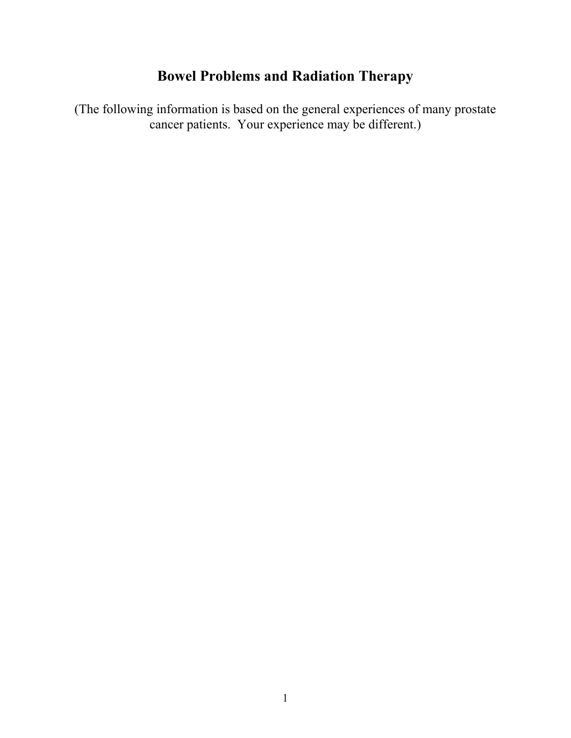# **Bowel Problems and Radiation Therapy**

(The following information is based on the general experiences of many prostate cancer patients. Your experience may be different.)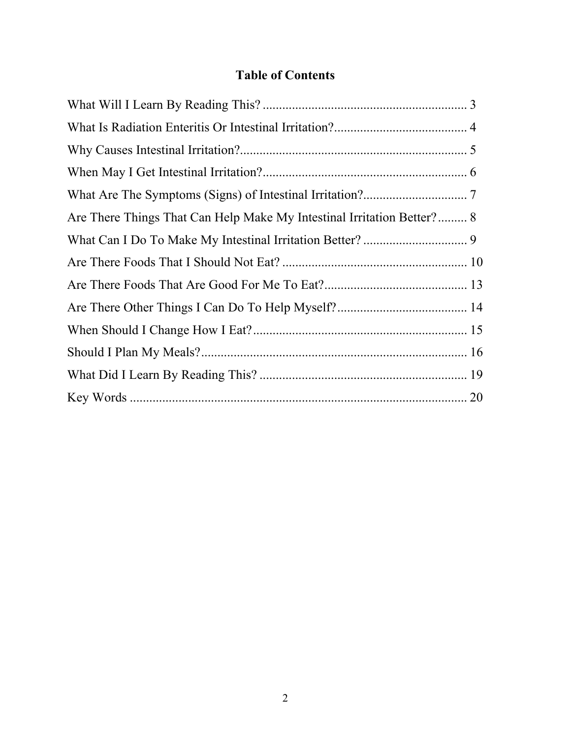## **Table of Contents**

| Are There Things That Can Help Make My Intestinal Irritation Better? 8 |  |
|------------------------------------------------------------------------|--|
|                                                                        |  |
|                                                                        |  |
|                                                                        |  |
|                                                                        |  |
|                                                                        |  |
|                                                                        |  |
|                                                                        |  |
|                                                                        |  |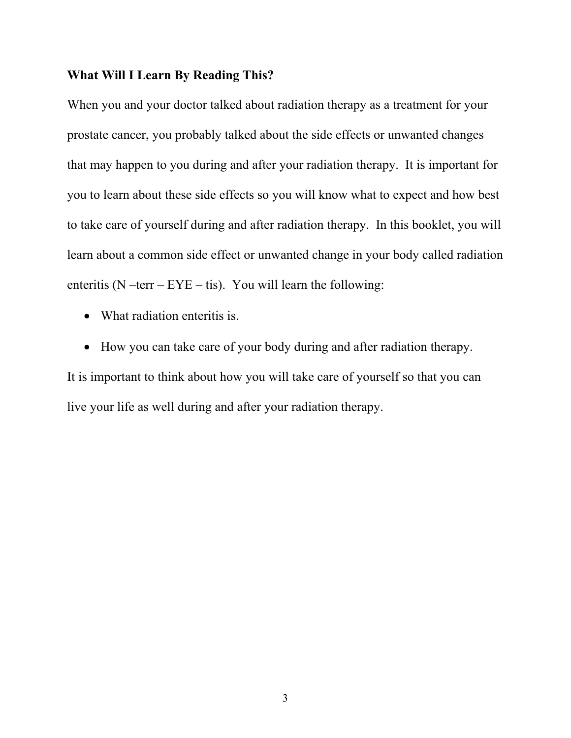#### **What Will I Learn By Reading This?**

When you and your doctor talked about radiation therapy as a treatment for your prostate cancer, you probably talked about the side effects or unwanted changes that may happen to you during and after your radiation therapy.It is important for you to learn about these side effects so you will know what to expect and how best to take care of yourself during and after radiation therapy. In this booklet, you will learn about a common side effect or unwanted change in your body called radiation enteritis ( $N$  –terr –  $EYE$  – tis). You will learn the following:

- What radiation enteritis is.
- How you can take care of your body during and after radiation therapy.

It is important to think about how you will take care of yourself so that you can live your life as well during and after your radiation therapy.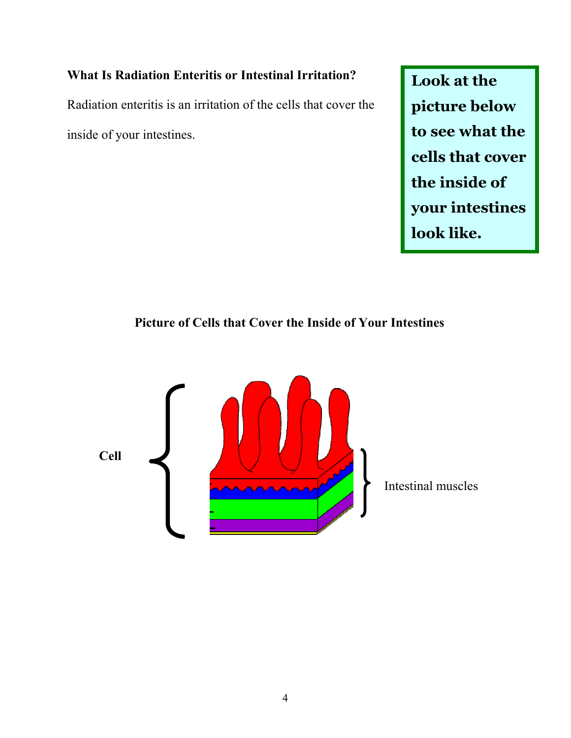## **What Is Radiation Enteritis or Intestinal Irritation?**

Radiation enteritis is an irritation of the cells that cover the inside of your intestines.

**Look at the picture below to see what the cells that cover the inside of your intestines look like.** 

## **Picture of Cells that Cover the Inside of Your Intestines**

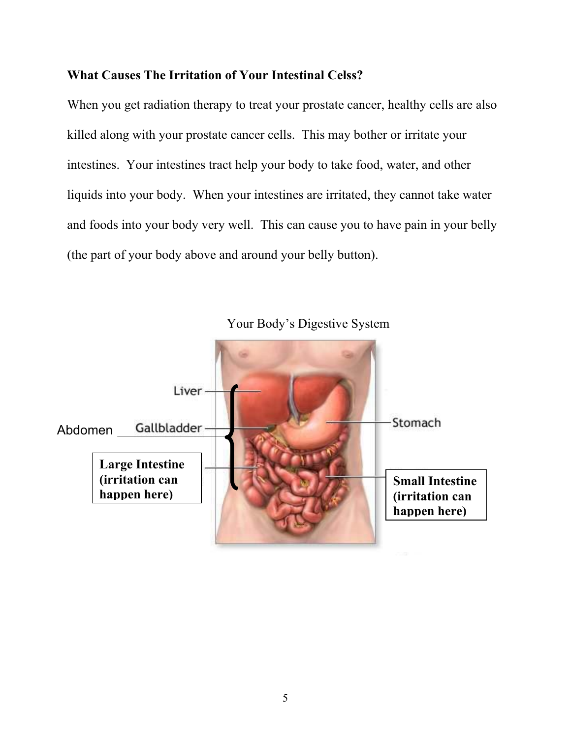#### **What Causes The Irritation of Your Intestinal Celss?**

When you get radiation therapy to treat your prostate cancer, healthy cells are also killed along with your prostate cancer cells. This may bother or irritate your intestines. Your intestines tract help your body to take food, water, and other liquids into your body. When your intestines are irritated, they cannot take water and foods into your body very well. This can cause you to have pain in your belly (the part of your body above and around your belly button).

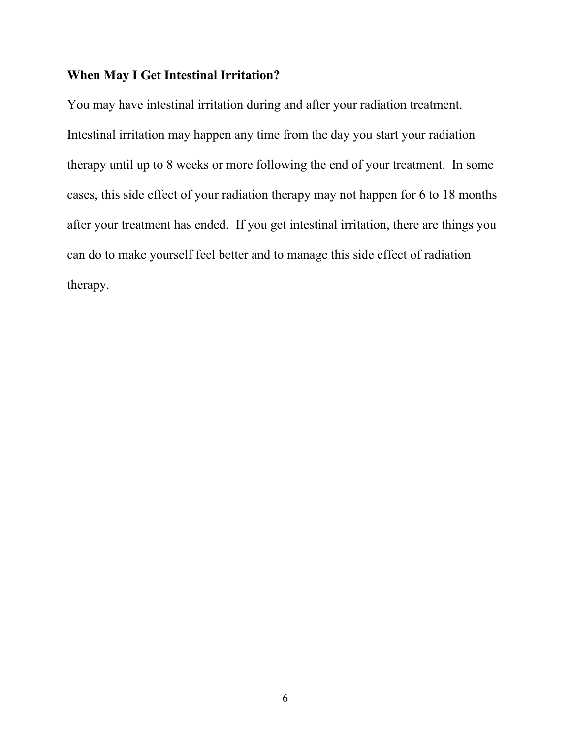#### **When May I Get Intestinal Irritation?**

You may have intestinal irritation during and after your radiation treatment. Intestinal irritation may happen any time from the day you start your radiation therapy until up to 8 weeks or more following the end of your treatment. In some cases, this side effect of your radiation therapy may not happen for 6 to 18 months after your treatment has ended. If you get intestinal irritation, there are things you can do to make yourself feel better and to manage this side effect of radiation therapy.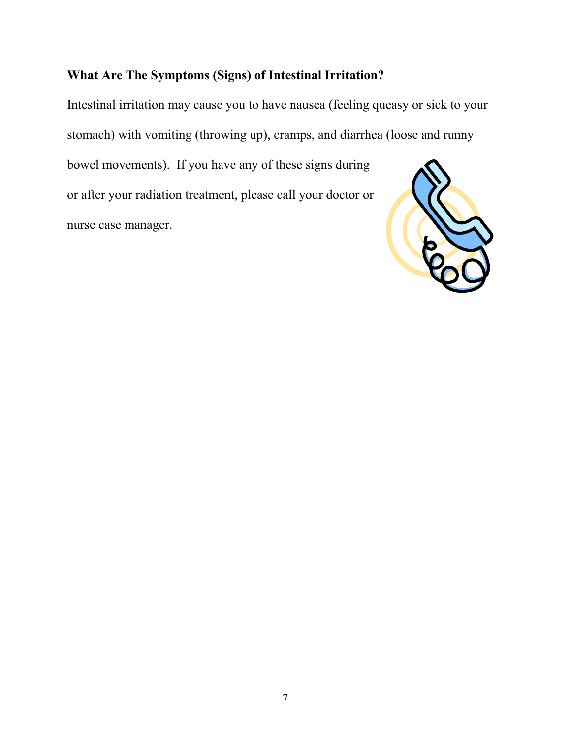## **What Are The Symptoms (Signs) of Intestinal Irritation?**

Intestinal irritation may cause you to have nausea (feeling queasy or sick to your stomach) with vomiting (throwing up), cramps, and diarrhea (loose and runny bowel movements). If you have any of these signs during or after your radiation treatment, please call your doctor or nurse case manager.

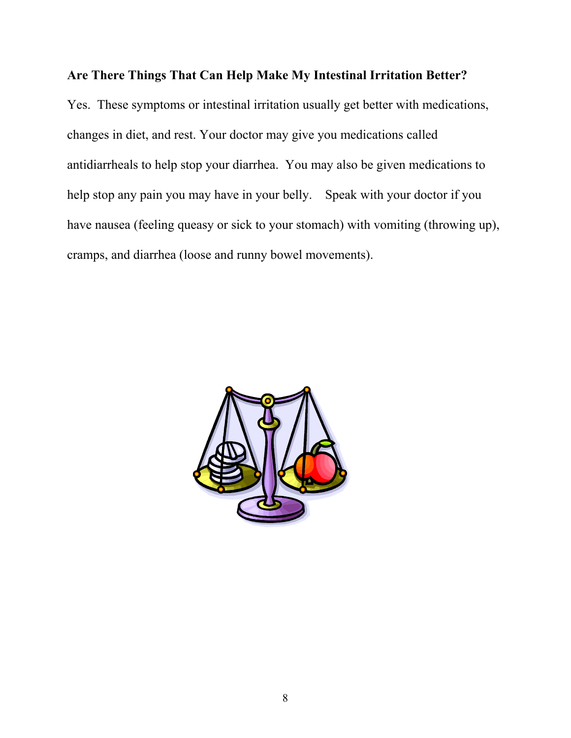#### **Are There Things That Can Help Make My Intestinal Irritation Better?**

Yes. These symptoms or intestinal irritation usually get better with medications, changes in diet, and rest. Your doctor may give you medications called antidiarrheals to help stop your diarrhea. You may also be given medications to help stop any pain you may have in your belly. Speak with your doctor if you have nausea (feeling queasy or sick to your stomach) with vomiting (throwing up), cramps, and diarrhea (loose and runny bowel movements).

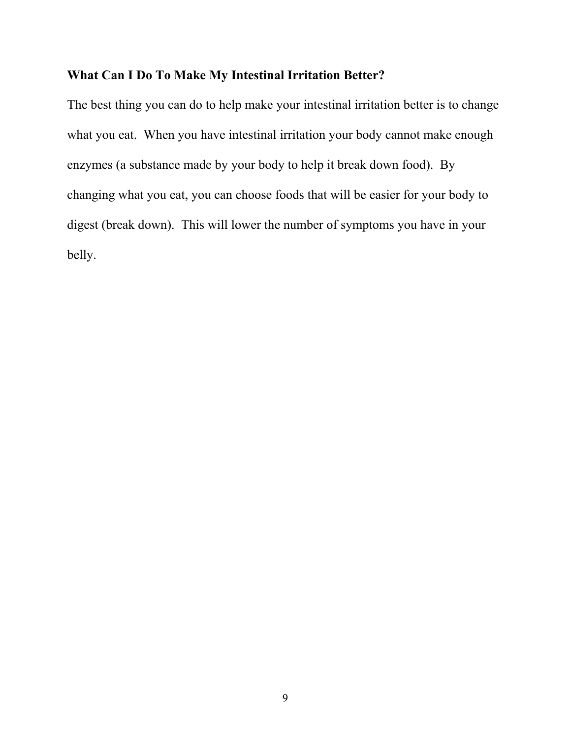#### **What Can I Do To Make My Intestinal Irritation Better?**

The best thing you can do to help make your intestinal irritation better is to change what you eat. When you have intestinal irritation your body cannot make enough enzymes (a substance made by your body to help it break down food). By changing what you eat, you can choose foods that will be easier for your body to digest (break down). This will lower the number of symptoms you have in your belly.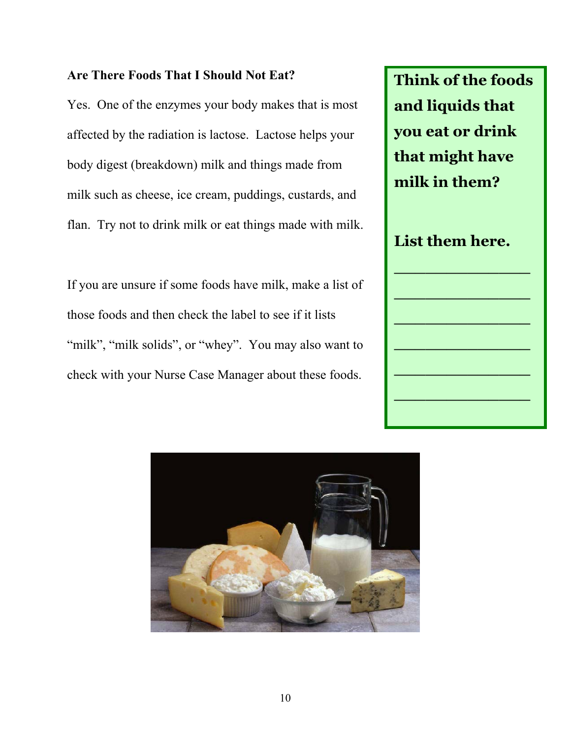#### **Are There Foods That I Should Not Eat?**

Yes. One of the enzymes your body makes that is most affected by the radiation is lactose. Lactose helps your body digest (breakdown) milk and things made from milk such as cheese, ice cream, puddings, custards, and flan. Try not to drink milk or eat things made with milk.

If you are unsure if some foods have milk, make a list of those foods and then check the label to see if it lists "milk", "milk solids", or "whey". You may also want to check with your Nurse Case Manager about these foods.



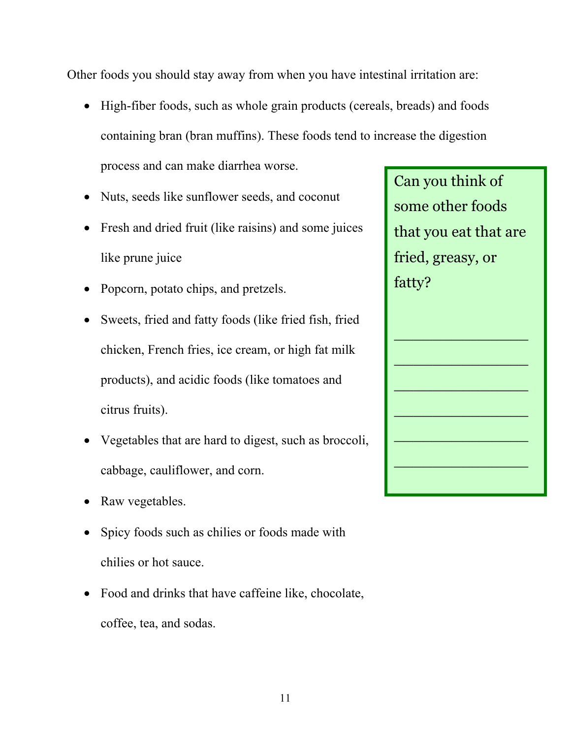Other foods you should stay away from when you have intestinal irritation are:

- High-fiber foods, such as whole grain products (cereals, breads) and foods containing bran (bran muffins). These foods tend to increase the digestion process and can make diarrhea worse.
- Nuts, seeds like sunflower seeds, and coconut
- Fresh and dried fruit (like raisins) and some juices like prune juice
- Popcorn, potato chips, and pretzels.
- Sweets, fried and fatty foods (like fried fish, fried chicken, French fries, ice cream, or high fat milk products), and acidic foods (like tomatoes and citrus fruits).
- Vegetables that are hard to digest, such as broccoli, cabbage, cauliflower, and corn.
- Raw vegetables.
- Spicy foods such as chilies or foods made with chilies or hot sauce.
- Food and drinks that have caffeine like, chocolate, coffee, tea, and sodas.

Can you think of some other foods that you eat that are fried, greasy, or fatty?

\_\_\_\_\_\_\_\_\_\_\_\_\_\_

 $\mathcal{L}_\text{max}$  , where  $\mathcal{L}_\text{max}$  is the set of  $\mathcal{L}_\text{max}$ 

\_\_\_\_\_\_\_\_\_\_\_\_\_\_

\_\_\_\_\_\_\_\_\_\_\_\_\_\_

\_\_\_\_\_\_\_\_\_\_\_\_\_\_

\_\_\_\_\_\_\_\_\_\_\_\_\_\_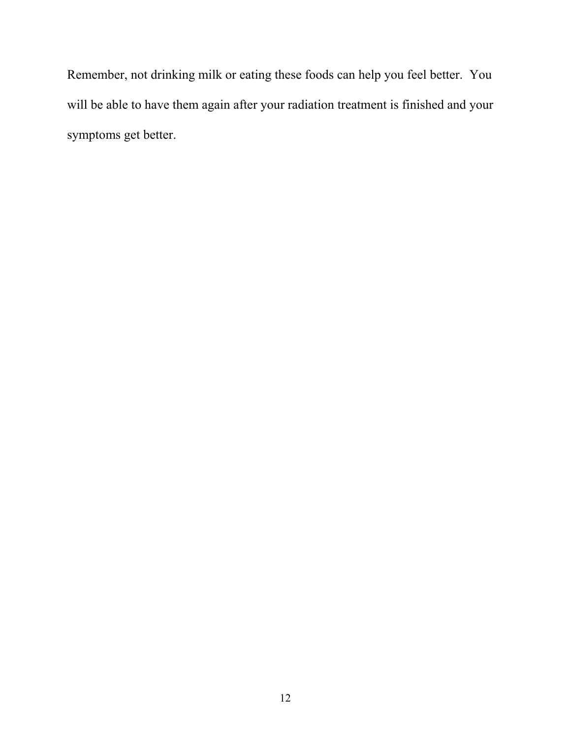Remember, not drinking milk or eating these foods can help you feel better. You will be able to have them again after your radiation treatment is finished and your symptoms get better.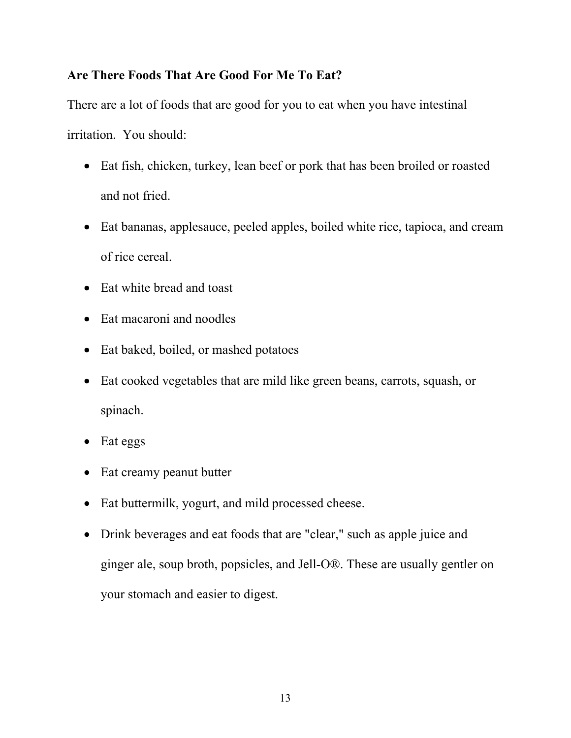## **Are There Foods That Are Good For Me To Eat?**

There are a lot of foods that are good for you to eat when you have intestinal irritation. You should:

- Eat fish, chicken, turkey, lean beef or pork that has been broiled or roasted and not fried.
- Eat bananas, applesauce, peeled apples, boiled white rice, tapioca, and cream of rice cereal.
- Eat white bread and toast
- Eat macaroni and noodles
- Eat baked, boiled, or mashed potatoes
- Eat cooked vegetables that are mild like green beans, carrots, squash, or spinach.
- Eat eggs
- Eat creamy peanut butter
- Eat buttermilk, yogurt, and mild processed cheese.
- Drink beverages and eat foods that are "clear," such as apple juice and ginger ale, soup broth, popsicles, and Jell-O®. These are usually gentler on your stomach and easier to digest.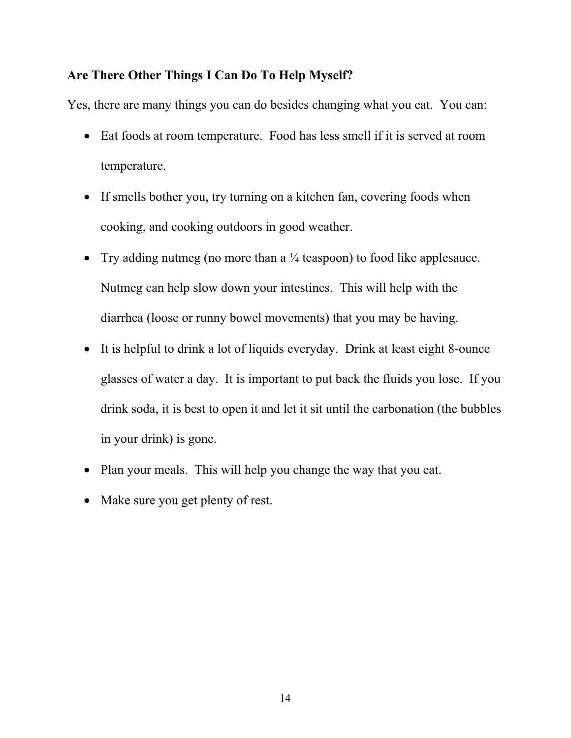## **Are There Other Things I Can Do To Help Myself?**

Yes, there are many things you can do besides changing what you eat. You can:

- Eat foods at room temperature. Food has less smell if it is served at room temperature.
- If smells bother you, try turning on a kitchen fan, covering foods when cooking, and cooking outdoors in good weather.
- Try adding nutmeg (no more than a  $\frac{1}{4}$  teaspoon) to food like applesauce. Nutmeg can help slow down your intestines. This will help with the diarrhea (loose or runny bowel movements) that you may be having.
- It is helpful to drink a lot of liquids everyday. Drink at least eight 8-ounce glasses of water a day. It is important to put back the fluids you lose. If you drink soda, it is best to open it and let it sit until the carbonation (the bubbles in your drink) is gone.
- Plan your meals. This will help you change the way that you eat.
- Make sure you get plenty of rest.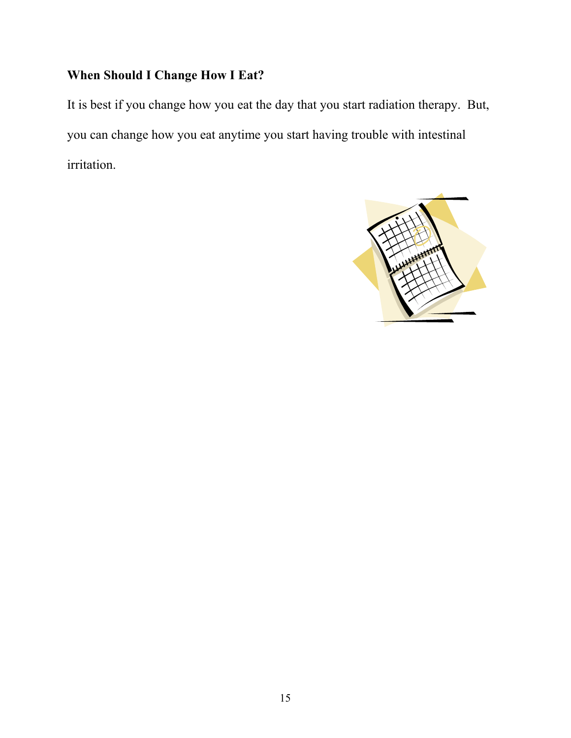## **When Should I Change How I Eat?**

It is best if you change how you eat the day that you start radiation therapy. But, you can change how you eat anytime you start having trouble with intestinal irritation.

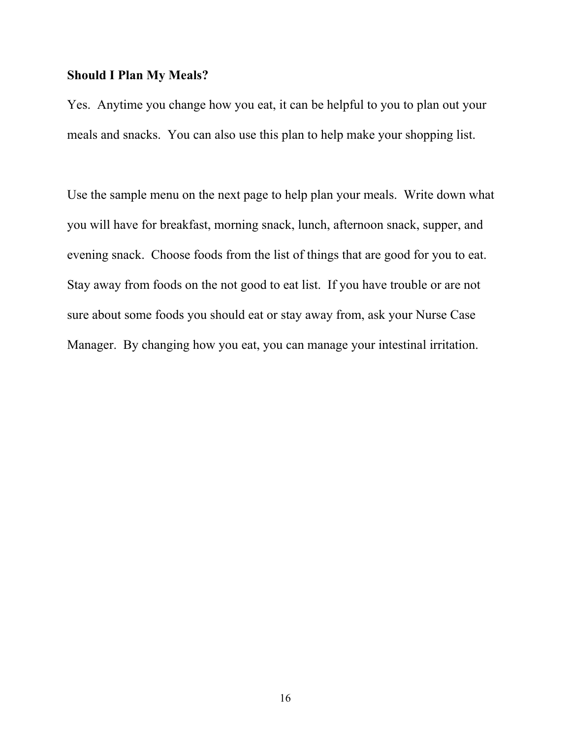#### **Should I Plan My Meals?**

Yes. Anytime you change how you eat, it can be helpful to you to plan out your meals and snacks. You can also use this plan to help make your shopping list.

Use the sample menu on the next page to help plan your meals. Write down what you will have for breakfast, morning snack, lunch, afternoon snack, supper, and evening snack. Choose foods from the list of things that are good for you to eat. Stay away from foods on the not good to eat list. If you have trouble or are not sure about some foods you should eat or stay away from, ask your Nurse Case Manager. By changing how you eat, you can manage your intestinal irritation.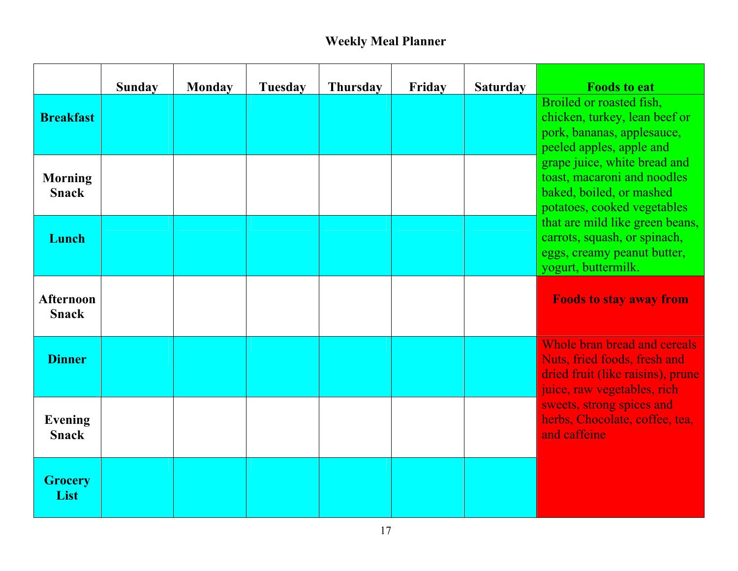# **Weekly Meal Planner**

|                                  | <b>Sunday</b> | <b>Monday</b> | <b>Tuesday</b> | <b>Thursday</b> | Friday | <b>Saturday</b> | <b>Foods to eat</b>                                                                                                                                                                                                                                                                                                                                                    |
|----------------------------------|---------------|---------------|----------------|-----------------|--------|-----------------|------------------------------------------------------------------------------------------------------------------------------------------------------------------------------------------------------------------------------------------------------------------------------------------------------------------------------------------------------------------------|
| <b>Breakfast</b>                 |               |               |                |                 |        |                 | Broiled or roasted fish,<br>chicken, turkey, lean beef or<br>pork, bananas, applesauce,<br>peeled apples, apple and<br>grape juice, white bread and<br>toast, macaroni and noodles<br>baked, boiled, or mashed<br>potatoes, cooked vegetables<br>that are mild like green beans,<br>carrots, squash, or spinach,<br>eggs, creamy peanut butter,<br>yogurt, buttermilk. |
| <b>Morning</b><br><b>Snack</b>   |               |               |                |                 |        |                 |                                                                                                                                                                                                                                                                                                                                                                        |
| Lunch                            |               |               |                |                 |        |                 |                                                                                                                                                                                                                                                                                                                                                                        |
| <b>Afternoon</b><br><b>Snack</b> |               |               |                |                 |        |                 | <b>Foods to stay away from</b>                                                                                                                                                                                                                                                                                                                                         |
| <b>Dinner</b>                    |               |               |                |                 |        |                 | Whole bran bread and cereals<br>Nuts, fried foods, fresh and<br>dried fruit (like raisins), prune<br>juice, raw vegetables, rich<br>sweets, strong spices and<br>herbs, Chocolate, coffee, tea,<br>and caffeine                                                                                                                                                        |
| <b>Evening</b><br><b>Snack</b>   |               |               |                |                 |        |                 |                                                                                                                                                                                                                                                                                                                                                                        |
| <b>Grocery</b><br>List           |               |               |                |                 |        |                 |                                                                                                                                                                                                                                                                                                                                                                        |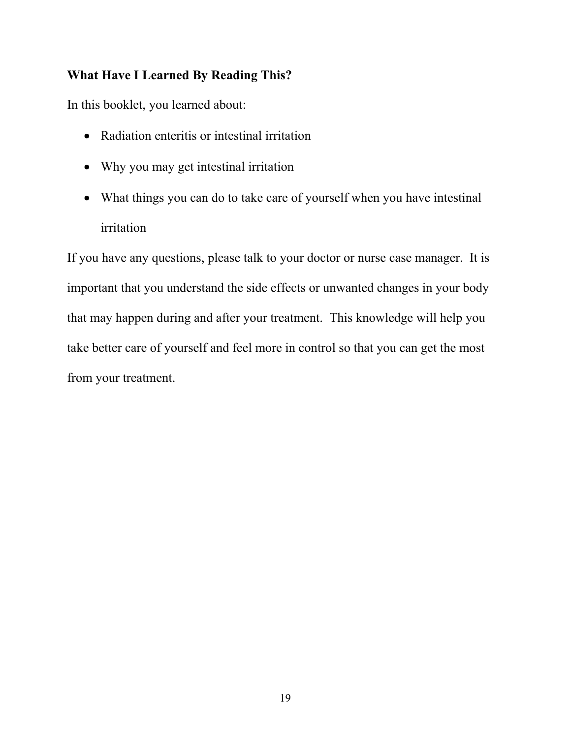## **What Have I Learned By Reading This?**

In this booklet, you learned about:

- Radiation enteritis or intestinal irritation
- Why you may get intestinal irritation
- What things you can do to take care of yourself when you have intestinal irritation

If you have any questions, please talk to your doctor or nurse case manager. It is important that you understand the side effects or unwanted changes in your body that may happen during and after your treatment. This knowledge will help you take better care of yourself and feel more in control so that you can get the most from your treatment.